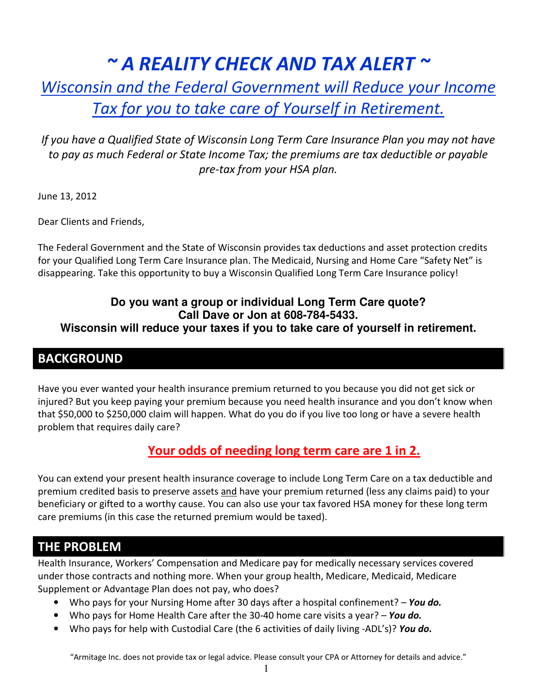# $\sim$  A REALITY CHECK AND TAX ALERT  $\sim$

## Wisconsin and the Federal Government will Reduce your Income Tax for you to take care of Yourself in Retirement.

#### If you have a Qualified State of Wisconsin Long Term Care Insurance Plan you may not have to pay as much Federal or State Income Tax; the premiums are tax deductible or payable pre-tax from your HSA plan.

June 13, 2012

Dear Clients and Friends,

The Federal Government and the State of Wisconsin provides tax deductions and asset protection credits for your Qualified Long Term Care Insurance plan. The Medicaid, Nursing and Home Care "Safety Net" is disappearing. Take this opportunity to buy a Wisconsin Qualified Long Term Care Insurance policy!

#### **Do you want a group or individual Long Term Care quote? Call Dave or Jon at 608-784-5433.**

#### **Wisconsin will reduce your taxes if you to take care of yourself in retirement.**

## **BACKGROUND**

Have you ever wanted your health insurance premium returned to you because you did not get sick or injured? But you keep paying your premium because you need health insurance and you don't know when that \$50,000 to \$250,000 claim will happen. What do you do if you live too long or have a severe health problem that requires daily care?

## Your odds of needing long term care are 1 in 2.

You can extend your present health insurance coverage to include Long Term Care on a tax deductible and premium credited basis to preserve assets and have your premium returned (less any claims paid) to your beneficiary or gifted to a worthy cause. You can also use your tax favored HSA money for these long term care premiums (in this case the returned premium would be taxed).

#### THE PROBLEM

Health Insurance, Workers' Compensation and Medicare pay for medically necessary services covered under those contracts and nothing more. When your group health, Medicare, Medicaid, Medicare Supplement or Advantage Plan does not pay, who does?

- Who pays for your Nursing Home after 30 days after a hospital confinement? You do.
- Who pays for Home Health Care after the 30-40 home care visits a year? You do.
- Who pays for help with Custodial Care (the 6 activities of daily living -ADL's)? You do.

"Armitage Inc. does not provide tax or legal advice. Please consult your CPA or Attorney for details and advice."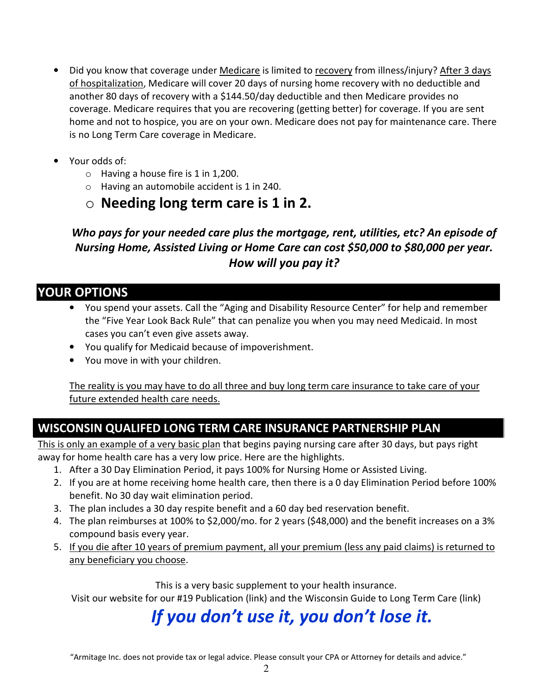- Did you know that coverage under Medicare is limited to recovery from illness/injury? After 3 days of hospitalization, Medicare will cover 20 days of nursing home recovery with no deductible and another 80 days of recovery with a \$144.50/day deductible and then Medicare provides no coverage. Medicare requires that you are recovering (getting better) for coverage. If you are sent home and not to hospice, you are on your own. Medicare does not pay for maintenance care. There is no Long Term Care coverage in Medicare.
- Your odds of:
	- $\circ$  Having a house fire is 1 in 1,200.
	- $\circ$  Having an automobile accident is 1 in 240.
	- $\circ$  Needing long term care is 1 in 2.

Who pays for your needed care plus the mortgage, rent, utilities, etc? An episode of Nursing Home, Assisted Living or Home Care can cost \$50,000 to \$80,000 per year. How will you pay it?

## YOUR OPTIONS

- You spend your assets. Call the "Aging and Disability Resource Center" for help and remember the "Five Year Look Back Rule" that can penalize you when you may need Medicaid. In most cases you can't even give assets away.
- You qualify for Medicaid because of impoverishment.
- You move in with your children.

The reality is you may have to do all three and buy long term care insurance to take care of your future extended health care needs.

## WISCONSIN QUALIFED LONG TERM CARE INSURANCE PARTNERSHIP PLAN

This is only an example of a very basic plan that begins paying nursing care after 30 days, but pays right away for home health care has a very low price. Here are the highlights.

- 1. After a 30 Day Elimination Period, it pays 100% for Nursing Home or Assisted Living.
- 2. If you are at home receiving home health care, then there is a 0 day Elimination Period before 100% benefit. No 30 day wait elimination period.
- 3. The plan includes a 30 day respite benefit and a 60 day bed reservation benefit.
- 4. The plan reimburses at 100% to \$2,000/mo. for 2 years (\$48,000) and the benefit increases on a 3% compound basis every year.
- 5. If you die after 10 years of premium payment, all your premium (less any paid claims) is returned to any beneficiary you choose.

This is a very basic supplement to your health insurance.

Visit our website for our #19 Publication (link) and the Wisconsin Guide to Long Term Care (link)

# If you don't use it, you don't lose it.

"Armitage Inc. does not provide tax or legal advice. Please consult your CPA or Attorney for details and advice."